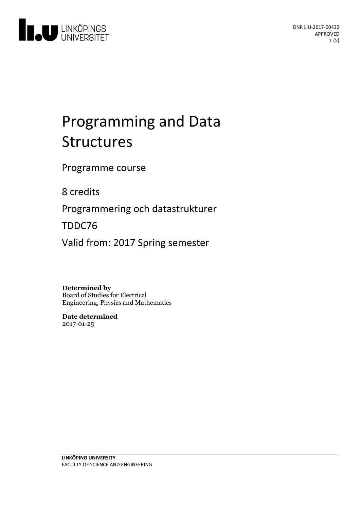

# Programming and Data Structures

Programme course

8 credits

Programmering och datastrukturer

TDDC76

Valid from: 2017 Spring semester

**Determined by** Board of Studies for Electrical Engineering, Physics and Mathematics

**Date determined** 2017-01-25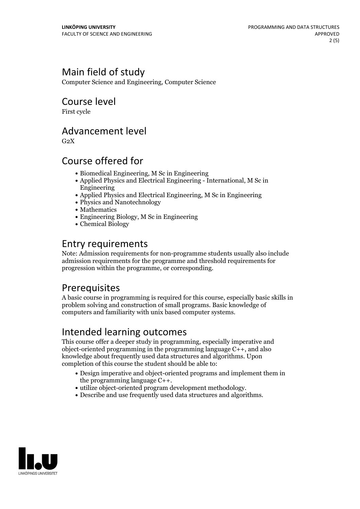### Main field of study

Computer Science and Engineering, Computer Science

#### Course level

First cycle

#### Advancement level

 $G<sub>2</sub>X$ 

### Course offered for

- Biomedical Engineering, M Sc in Engineering
- Applied Physics and Electrical Engineering International, M Sc in Engineering
- Applied Physics and Electrical Engineering, M Sc in Engineering
- Physics and Nanotechnology
- Mathematics
- Engineering Biology, M Sc in Engineering
- Chemical Biology

### Entry requirements

Note: Admission requirements for non-programme students usually also include admission requirements for the programme and threshold requirements for progression within the programme, or corresponding.

### **Prerequisites**

A basic course in programming is required for this course, especially basic skills in problem solving and construction of small programs. Basic knowledge of computers and familiarity with unix based computer systems.

### Intended learning outcomes

This course offer a deeper study in programming, especially imperative and object-oriented programming in the programming language C++, and also knowledge about frequently used data structures and algorithms. Upon completion of this course the student should be able to:

- Design imperative and object-oriented programs and implement them in the programming language  $C++$ .
- utilize object-oriented program development methodology.<br>• Describe and use frequently used data structures and algorithms.
- 

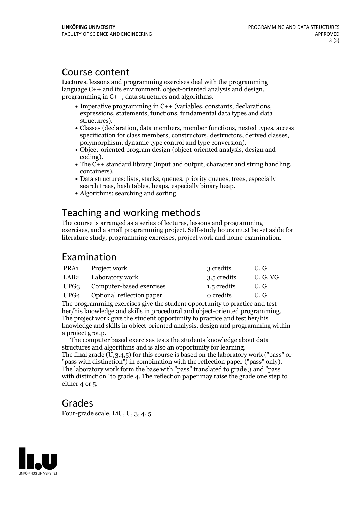#### Course content

Lectures, lessons and programming exercises deal with the programming language C++ and its environment, object-oriented analysis and design, programming in C++, data structures and algorithms.

- Imperative programming in C++ (variables, constants, declarations, expressions, statements, functions, fundamental data types and data
- structures). Classes (declaration, data members, member functions, nested types, access specification for class members, constructors, destructors, derived classes, polymorphism, dynamic type control and type conversion).<br>• Object-oriented program design (object-oriented analysis, design and coding).
- 
- coding). The C++ standard library (input and output, character and string handling, containers). Data structures: lists, stacks, queues, priority queues, trees, especially
- search trees, hash tables, heaps, especially binary heap.<br>• Algorithms: searching and sorting.
- 

#### Teaching and working methods

The course is arranged as a series of lectures, lessons and programming exercises, and a small programming project. Self-study hours must be set aside for literature study, programming exercises, project work and home examination.

#### Examination

| PRA1 | Project work                   | 3 credits   | U.G    |
|------|--------------------------------|-------------|--------|
| LAB2 | Laboratory work                | 3.5 credits | U.G.VG |
|      | UPG3 Computer-based exercises  | 1.5 credits | U.G    |
|      | UPG4 Optional reflection paper | o credits   | U.G    |

The programming exercises give the student opportunity to practice and test her/his knowledge and skills in procedural and object-oriented programming. The project work give the student opportunity to practice and test her/his knowledge and skills in object-oriented analysis, design and programming within

<sup>a</sup> project group. The computer based exercises tests the students knowledge about data structures and algorithms and is also an opportunity for learning.<br>The final grade  $(U,3,4,5)$  for this course is based on the laboratory work ("pass" or "pass with distinction") in combination with the reflection paper (" with distinction" to grade 4. The reflection paper may raise the grade one step to either 4 or 5.

#### Grades

Four-grade scale, LiU, U, 3, 4, 5

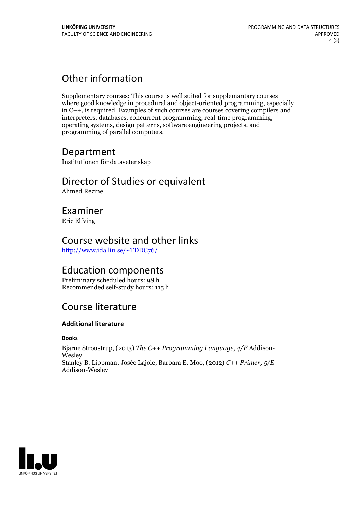### Other information

Supplementary courses: This course is well suited for supplemantary courses where good knowledge in procedural and object-oriented programming, especially in C++, is required. Examples of such courses are courses covering compilers and operating systems, design patterns, software engineering projects, and programming of parallel computers.

### Department

Institutionen för datavetenskap

## Director of Studies or equivalent

Ahmed Rezine

#### Examiner

Eric Elfving

### Course website and other links

<http://www.ida.liu.se/~TDDC76/>

#### Education components

Preliminary scheduled hours: 98 h Recommended self-study hours: 115 h

### Course literature

#### **Additional literature**

#### **Books**

Bjarne Stroustrup, (2013) *The C++ Programming Language, 4/E* Addison- Wesley Stanley B. Lippman, Josée Lajoie, Barbara E. Moo, (2012) *C++ Primer, 5/E* Addison-Wesley